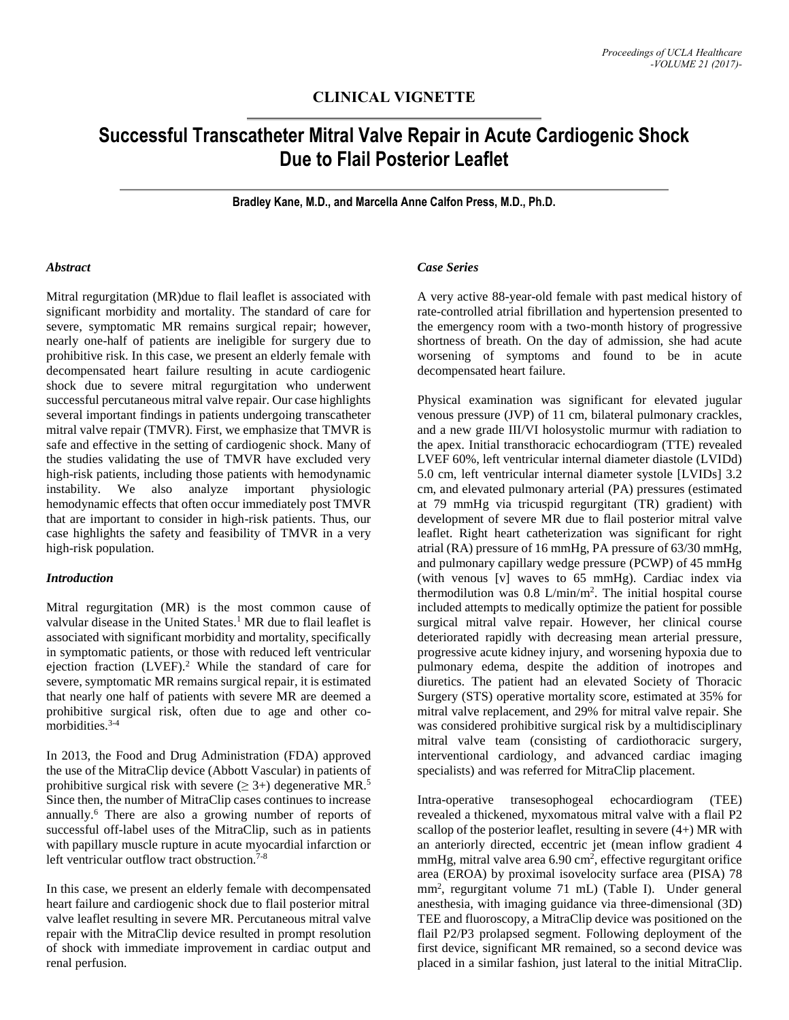## **CLINICAL VIGNETTE**

# **Successful Transcatheter Mitral Valve Repair in Acute Cardiogenic Shock Due to Flail Posterior Leaflet**

**Bradley Kane, M.D., and Marcella Anne Calfon Press, M.D., Ph.D.**

#### *Abstract*

Mitral regurgitation (MR)due to flail leaflet is associated with significant morbidity and mortality. The standard of care for severe, symptomatic MR remains surgical repair; however, nearly one-half of patients are ineligible for surgery due to prohibitive risk. In this case, we present an elderly female with decompensated heart failure resulting in acute cardiogenic shock due to severe mitral regurgitation who underwent successful percutaneous mitral valve repair. Our case highlights several important findings in patients undergoing transcatheter mitral valve repair (TMVR). First, we emphasize that TMVR is safe and effective in the setting of cardiogenic shock. Many of the studies validating the use of TMVR have excluded very high-risk patients, including those patients with hemodynamic instability. We also analyze important physiologic hemodynamic effects that often occur immediately post TMVR that are important to consider in high-risk patients. Thus, our case highlights the safety and feasibility of TMVR in a very high-risk population.

## *Introduction*

Mitral regurgitation (MR) is the most common cause of valvular disease in the United States. <sup>1</sup> MR due to flail leaflet is associated with significant morbidity and mortality, specifically in symptomatic patients, or those with reduced left ventricular ejection fraction (LVEF).<sup>2</sup> While the standard of care for severe, symptomatic MR remains surgical repair, it is estimated that nearly one half of patients with severe MR are deemed a prohibitive surgical risk, often due to age and other comorbidities.<sup>3-4</sup>

In 2013, the Food and Drug Administration (FDA) approved the use of the MitraClip device (Abbott Vascular) in patients of prohibitive surgical risk with severe  $(\geq 3+)$  degenerative MR.<sup>5</sup> Since then, the number of MitraClip cases continues to increase annually. <sup>6</sup> There are also a growing number of reports of successful off-label uses of the MitraClip, such as in patients with papillary muscle rupture in acute myocardial infarction or left ventricular outflow tract obstruction. 7-8

In this case, we present an elderly female with decompensated heart failure and cardiogenic shock due to flail posterior mitral valve leaflet resulting in severe MR. Percutaneous mitral valve repair with the MitraClip device resulted in prompt resolution of shock with immediate improvement in cardiac output and renal perfusion.

## *Case Series*

A very active 88-year-old female with past medical history of rate-controlled atrial fibrillation and hypertension presented to the emergency room with a two-month history of progressive shortness of breath. On the day of admission, she had acute worsening of symptoms and found to be in acute decompensated heart failure.

Physical examination was significant for elevated jugular venous pressure (JVP) of 11 cm, bilateral pulmonary crackles, and a new grade III/VI holosystolic murmur with radiation to the apex. Initial transthoracic echocardiogram (TTE) revealed LVEF 60%, left ventricular internal diameter diastole (LVIDd) 5.0 cm, left ventricular internal diameter systole [LVIDs] 3.2 cm, and elevated pulmonary arterial (PA) pressures (estimated at 79 mmHg via tricuspid regurgitant (TR) gradient) with development of severe MR due to flail posterior mitral valve leaflet. Right heart catheterization was significant for right atrial (RA) pressure of 16 mmHg, PA pressure of 63/30 mmHg, and pulmonary capillary wedge pressure (PCWP) of 45 mmHg (with venous [v] waves to 65 mmHg). Cardiac index via thermodilution was  $0.8$  L/min/m<sup>2</sup>. The initial hospital course included attempts to medically optimize the patient for possible surgical mitral valve repair. However, her clinical course deteriorated rapidly with decreasing mean arterial pressure, progressive acute kidney injury, and worsening hypoxia due to pulmonary edema, despite the addition of inotropes and diuretics. The patient had an elevated Society of Thoracic Surgery (STS) operative mortality score, estimated at 35% for mitral valve replacement, and 29% for mitral valve repair. She was considered prohibitive surgical risk by a multidisciplinary mitral valve team (consisting of cardiothoracic surgery, interventional cardiology, and advanced cardiac imaging specialists) and was referred for MitraClip placement.

Intra-operative transesophogeal echocardiogram (TEE) revealed a thickened, myxomatous mitral valve with a flail P2 scallop of the posterior leaflet, resulting in severe (4+) MR with an anteriorly directed, eccentric jet (mean inflow gradient 4 mmHg, mitral valve area 6.90 cm<sup>2</sup>, effective regurgitant orifice area (EROA) by proximal isovelocity surface area (PISA) 78 mm<sup>2</sup> , regurgitant volume 71 mL) (Table I). Under general anesthesia, with imaging guidance via three-dimensional (3D) TEE and fluoroscopy, a MitraClip device was positioned on the flail P2/P3 prolapsed segment. Following deployment of the first device, significant MR remained, so a second device was placed in a similar fashion, just lateral to the initial MitraClip.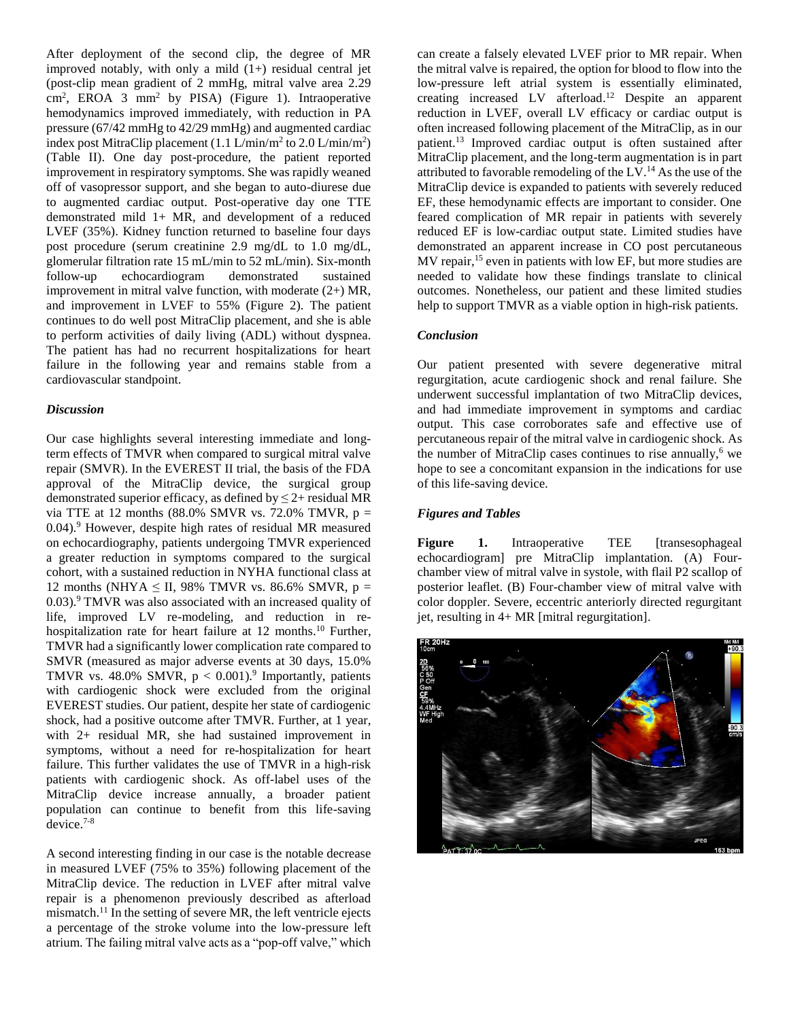After deployment of the second clip, the degree of MR improved notably, with only a mild  $(1+)$  residual central jet (post-clip mean gradient of 2 mmHg, mitral valve area 2.29 cm<sup>2</sup> , EROA 3 mm<sup>2</sup> by PISA) (Figure 1). Intraoperative hemodynamics improved immediately, with reduction in PA pressure (67/42 mmHg to 42/29 mmHg) and augmented cardiac index post MitraClip placement  $(1.1 \text{ L/min/m}^2 \text{ to } 2.0 \text{ L/min/m}^2)$ (Table II). One day post-procedure, the patient reported improvement in respiratory symptoms. She was rapidly weaned off of vasopressor support, and she began to auto-diurese due to augmented cardiac output. Post-operative day one TTE demonstrated mild 1+ MR, and development of a reduced LVEF (35%). Kidney function returned to baseline four days post procedure (serum creatinine 2.9 mg/dL to 1.0 mg/dL, glomerular filtration rate 15 mL/min to 52 mL/min). Six-month follow-up echocardiogram demonstrated sustained improvement in mitral valve function, with moderate (2+) MR, and improvement in LVEF to 55% (Figure 2). The patient continues to do well post MitraClip placement, and she is able to perform activities of daily living (ADL) without dyspnea. The patient has had no recurrent hospitalizations for heart failure in the following year and remains stable from a cardiovascular standpoint.

## *Discussion*

Our case highlights several interesting immediate and longterm effects of TMVR when compared to surgical mitral valve repair (SMVR). In the EVEREST II trial, the basis of the FDA approval of the MitraClip device, the surgical group demonstrated superior efficacy, as defined by  $\leq$  2+ residual MR via TTE at 12 months  $(88.0\% \text{ SMVR vs. } 72.0\% \text{ TMVR, p} =$ 0.04).<sup>9</sup> However, despite high rates of residual MR measured on echocardiography, patients undergoing TMVR experienced a greater reduction in symptoms compared to the surgical cohort, with a sustained reduction in NYHA functional class at 12 months (NHYA  $\leq$  II, 98% TMVR vs. 86.6% SMVR, p = 0.03). <sup>9</sup> TMVR was also associated with an increased quality of life, improved LV re-modeling, and reduction in rehospitalization rate for heart failure at 12 months. <sup>10</sup> Further, TMVR had a significantly lower complication rate compared to SMVR (measured as major adverse events at 30 days, 15.0% TMVR vs. 48.0% SMVR,  $p < 0.001$ .<sup>9</sup> Importantly, patients with cardiogenic shock were excluded from the original EVEREST studies. Our patient, despite her state of cardiogenic shock, had a positive outcome after TMVR. Further, at 1 year, with 2+ residual MR, she had sustained improvement in symptoms, without a need for re-hospitalization for heart failure. This further validates the use of TMVR in a high-risk patients with cardiogenic shock. As off-label uses of the MitraClip device increase annually, a broader patient population can continue to benefit from this life-saving device. 7-8

A second interesting finding in our case is the notable decrease in measured LVEF (75% to 35%) following placement of the MitraClip device. The reduction in LVEF after mitral valve repair is a phenomenon previously described as afterload mismatch.<sup>11</sup> In the setting of severe MR, the left ventricle ejects a percentage of the stroke volume into the low-pressure left atrium. The failing mitral valve acts as a "pop-off valve," which

can create a falsely elevated LVEF prior to MR repair. When the mitral valve is repaired, the option for blood to flow into the low-pressure left atrial system is essentially eliminated, creating increased LV afterload. <sup>12</sup> Despite an apparent reduction in LVEF, overall LV efficacy or cardiac output is often increased following placement of the MitraClip, as in our patient. <sup>13</sup> Improved cardiac output is often sustained after MitraClip placement, and the long-term augmentation is in part attributed to favorable remodeling of the  $LV<sup>14</sup>$  As the use of the MitraClip device is expanded to patients with severely reduced EF, these hemodynamic effects are important to consider. One feared complication of MR repair in patients with severely reduced EF is low-cardiac output state. Limited studies have demonstrated an apparent increase in CO post percutaneous MV repair,<sup>15</sup> even in patients with low EF, but more studies are needed to validate how these findings translate to clinical outcomes. Nonetheless, our patient and these limited studies help to support TMVR as a viable option in high-risk patients.

### *Conclusion*

Our patient presented with severe degenerative mitral regurgitation, acute cardiogenic shock and renal failure. She underwent successful implantation of two MitraClip devices, and had immediate improvement in symptoms and cardiac output. This case corroborates safe and effective use of percutaneous repair of the mitral valve in cardiogenic shock. As the number of MitraClip cases continues to rise annually, <sup>6</sup> we hope to see a concomitant expansion in the indications for use of this life-saving device.

## *Figures and Tables*

**Figure 1.** Intraoperative TEE [transesophageal] echocardiogram] pre MitraClip implantation. (A) Fourchamber view of mitral valve in systole, with flail P2 scallop of posterior leaflet. (B) Four-chamber view of mitral valve with color doppler. Severe, eccentric anteriorly directed regurgitant jet, resulting in 4+ MR [mitral regurgitation].

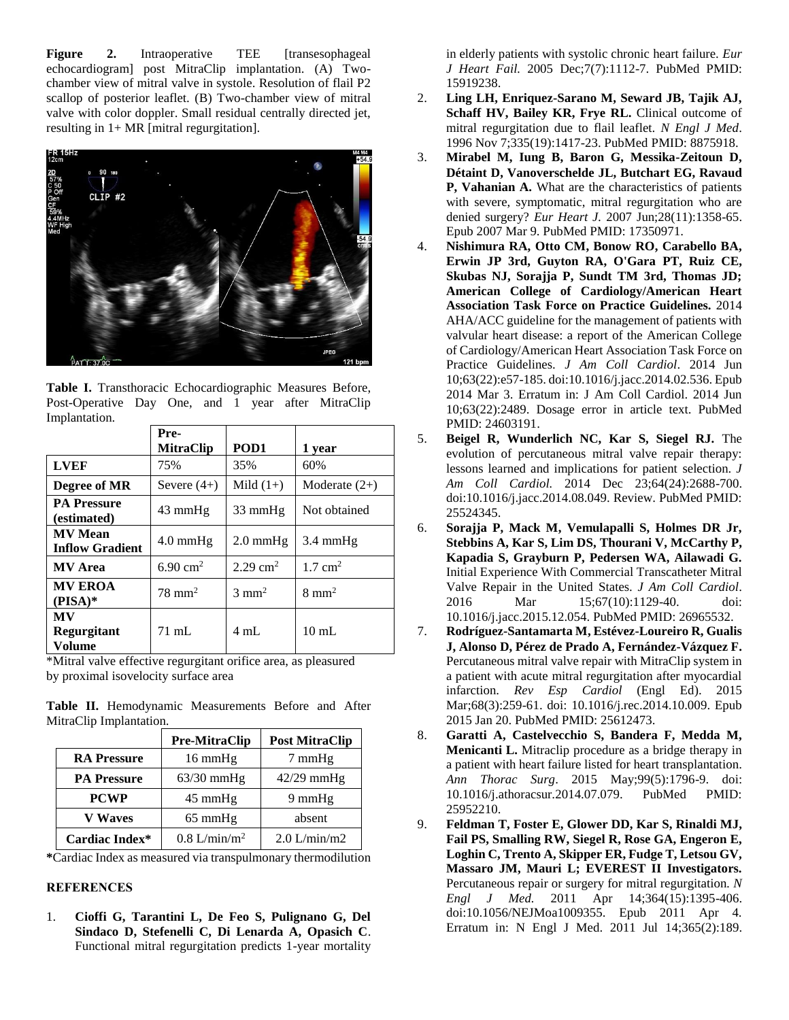**Figure 2.** Intraoperative TEE [transesophageal] echocardiogram] post MitraClip implantation. (A) Twochamber view of mitral valve in systole. Resolution of flail P2 scallop of posterior leaflet. (B) Two-chamber view of mitral valve with color doppler. Small residual centrally directed jet, resulting in  $1+ MR$  [mitral regurgitation].



**Table I.** Transthoracic Echocardiographic Measures Before, Post-Operative Day One, and 1 year after MitraClip Implantation.

|                                          | Pre-<br><b>MitraClip</b> | POD <sub>1</sub>    | 1 year             |
|------------------------------------------|--------------------------|---------------------|--------------------|
| <b>LVEF</b>                              | 75%                      | 35%                 | 60%                |
| Degree of MR                             | Severe $(4+)$            | Mild $(1+)$         | Moderate $(2+)$    |
| <b>PA Pressure</b><br>(estimated)        | $43 \text{ mmHg}$        | $33 \text{ mmHg}$   | Not obtained       |
| <b>MV</b> Mean<br><b>Inflow Gradient</b> | $4.0 \text{ mmHg}$       | $2.0 \text{ mmHg}$  | $3.4 \text{ mmHg}$ |
| <b>MV</b> Area                           | 6.90 cm <sup>2</sup>     | $2.29 \text{ cm}^2$ | $1.7 \text{ cm}^2$ |
| <b>MV EROA</b><br>$(PISA)*$              | $78 \text{ mm}^2$        | $3 \text{ mm}^2$    | $8 \text{ mm}^2$   |
| <b>MV</b><br>Regurgitant<br>Volume       | $71 \text{ mL}$          | $4 \text{ mL}$      | $10 \text{ mL}$    |

\*Mitral valve effective regurgitant orifice area, as pleasured by proximal isovelocity surface area

**Table II.** Hemodynamic Measurements Before and After MitraClip Implantation.

|                    | <b>Pre-MitraClip</b>       | <b>Post MitraClip</b> |
|--------------------|----------------------------|-----------------------|
| <b>RA Pressure</b> | 16 mmHg                    | 7 mmHg                |
| <b>PA Pressure</b> | $63/30$ mmHg               | $42/29$ mmHg          |
| <b>PCWP</b>        | $45 \text{ mmHg}$          | $9 \text{ mmHg}$      |
| <b>V</b> Waves     | $65 \text{ mmHg}$          | absent                |
| Cardiac Index*     | $0.8$ L/min/m <sup>2</sup> | $2.0$ L/min/m2        |

**\***Cardiac Index as measured via transpulmonary thermodilution

## **REFERENCES**

1. **Cioffi G, Tarantini L, De Feo S, Pulignano G, Del Sindaco D, Stefenelli C, Di Lenarda A, Opasich C**. Functional mitral regurgitation predicts 1-year mortality in elderly patients with systolic chronic heart failure. *Eur J Heart Fail.* 2005 Dec;7(7):1112-7. PubMed PMID: 15919238.

- 2. **Ling LH, Enriquez-Sarano M, Seward JB, Tajik AJ, Schaff HV, Bailey KR, Frye RL.** Clinical outcome of mitral regurgitation due to flail leaflet*. N Engl J Med*. 1996 Nov 7;335(19):1417-23. PubMed PMID: 8875918.
- 3. **Mirabel M, Iung B, Baron G, Messika-Zeitoun D, Détaint D, Vanoverschelde JL, Butchart EG, Ravaud P, Vahanian A.** What are the characteristics of patients with severe, symptomatic, mitral regurgitation who are denied surgery? *Eur Heart J.* 2007 Jun;28(11):1358-65. Epub 2007 Mar 9. PubMed PMID: 17350971.
- 4. **Nishimura RA, Otto CM, Bonow RO, Carabello BA, Erwin JP 3rd, Guyton RA, O'Gara PT, Ruiz CE, Skubas NJ, Sorajja P, Sundt TM 3rd, Thomas JD; American College of Cardiology/American Heart Association Task Force on Practice Guidelines.** 2014 AHA/ACC guideline for the management of patients with valvular heart disease: a report of the American College of Cardiology/American Heart Association Task Force on Practice Guidelines. *J Am Coll Cardiol*. 2014 Jun 10;63(22):e57-185. doi:10.1016/j.jacc.2014.02.536. Epub 2014 Mar 3. Erratum in: J Am Coll Cardiol. 2014 Jun 10;63(22):2489. Dosage error in article text. PubMed PMID: 24603191.
- 5. **Beigel R, Wunderlich NC, Kar S, Siegel RJ.** The evolution of percutaneous mitral valve repair therapy: lessons learned and implications for patient selection. *J Am Coll Cardiol.* 2014 Dec 23;64(24):2688-700. doi:10.1016/j.jacc.2014.08.049. Review. PubMed PMID: 25524345.
- 6. **Sorajja P, Mack M, Vemulapalli S, Holmes DR Jr, Stebbins A, Kar S, Lim DS, Thourani V, McCarthy P, Kapadia S, Grayburn P, Pedersen WA, Ailawadi G.** Initial Experience With Commercial Transcatheter Mitral Valve Repair in the United States. *J Am Coll Cardiol*. 2016 Mar 15;67(10):1129-40. doi: 10.1016/j.jacc.2015.12.054. PubMed PMID: 26965532.
- 7. **Rodríguez-Santamarta M, Estévez-Loureiro R, Gualis J, Alonso D, Pérez de Prado A, Fernández-Vázquez F.** Percutaneous mitral valve repair with MitraClip system in a patient with acute mitral regurgitation after myocardial infarction. *Rev Esp Cardiol* (Engl Ed). 2015 Mar;68(3):259-61. doi: 10.1016/j.rec.2014.10.009. Epub 2015 Jan 20. PubMed PMID: 25612473.
- 8. **Garatti A, Castelvecchio S, Bandera F, Medda M, Menicanti L.** Mitraclip procedure as a bridge therapy in a patient with heart failure listed for heart transplantation. *Ann Thorac Surg*. 2015 May;99(5):1796-9. doi: 10.1016/j.athoracsur.2014.07.079. PubMed PMID: 25952210.
- 9. **Feldman T, Foster E, Glower DD, Kar S, Rinaldi MJ, Fail PS, Smalling RW, Siegel R, Rose GA, Engeron E, Loghin C, Trento A, Skipper ER, Fudge T, Letsou GV, Massaro JM, Mauri L; EVEREST II Investigators.** Percutaneous repair or surgery for mitral regurgitation*. N Engl J Med.* 2011 Apr 14;364(15):1395-406. doi:10.1056/NEJMoa1009355. Epub 2011 Apr 4. Erratum in: N Engl J Med. 2011 Jul 14;365(2):189.